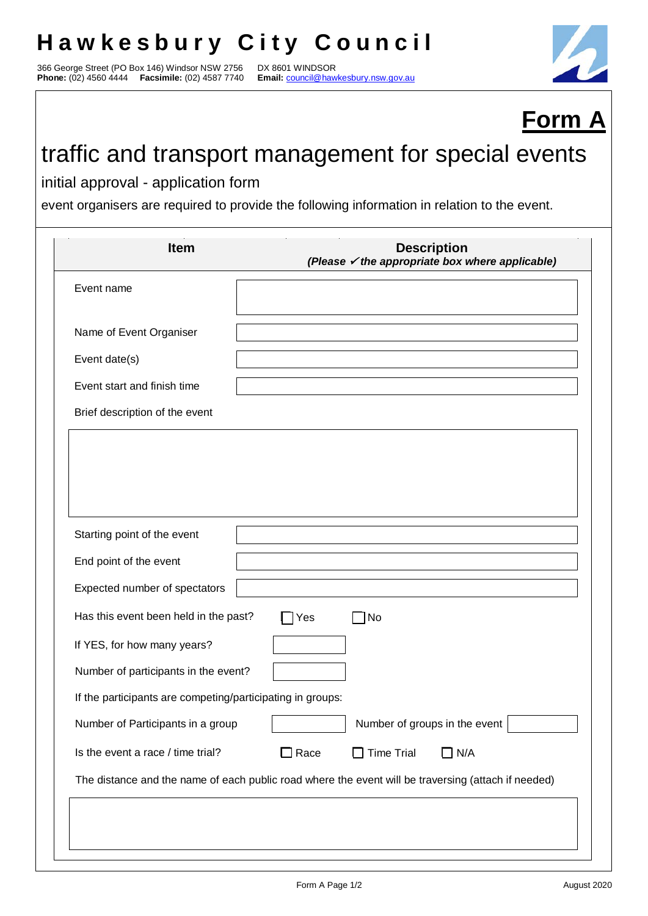## **Hawkesbury City Council**

366 George Street (PO Box 146) Windsor NSW 2756 DX 8601 WINDSOR **Phone:** (02) 4560 4444 **Facsimile:** (02) 4587 7740 **Email:** council@hawkesbury.nsw.gov.au



## **Form A**

## traffic and transport management for special events

initial approval - application form

event organisers are required to provide the following information in relation to the event.

| <b>Item</b>                                                | <b>Description</b><br>(Please $\checkmark$ the appropriate box where applicable)                    |  |
|------------------------------------------------------------|-----------------------------------------------------------------------------------------------------|--|
| Event name                                                 |                                                                                                     |  |
|                                                            |                                                                                                     |  |
| Name of Event Organiser                                    |                                                                                                     |  |
| Event date(s)                                              |                                                                                                     |  |
| Event start and finish time                                |                                                                                                     |  |
| Brief description of the event                             |                                                                                                     |  |
|                                                            |                                                                                                     |  |
|                                                            |                                                                                                     |  |
|                                                            |                                                                                                     |  |
|                                                            |                                                                                                     |  |
| Starting point of the event                                |                                                                                                     |  |
| End point of the event                                     |                                                                                                     |  |
| Expected number of spectators                              |                                                                                                     |  |
| Has this event been held in the past?                      | Yes<br>No                                                                                           |  |
|                                                            |                                                                                                     |  |
| If YES, for how many years?                                |                                                                                                     |  |
| Number of participants in the event?                       |                                                                                                     |  |
| If the participants are competing/participating in groups: |                                                                                                     |  |
| Number of Participants in a group                          | Number of groups in the event                                                                       |  |
| Is the event a race / time trial?                          | $\Box$ Time Trial<br>$\Box$ Race<br>$\Box$ N/A                                                      |  |
|                                                            | The distance and the name of each public road where the event will be traversing (attach if needed) |  |
|                                                            |                                                                                                     |  |